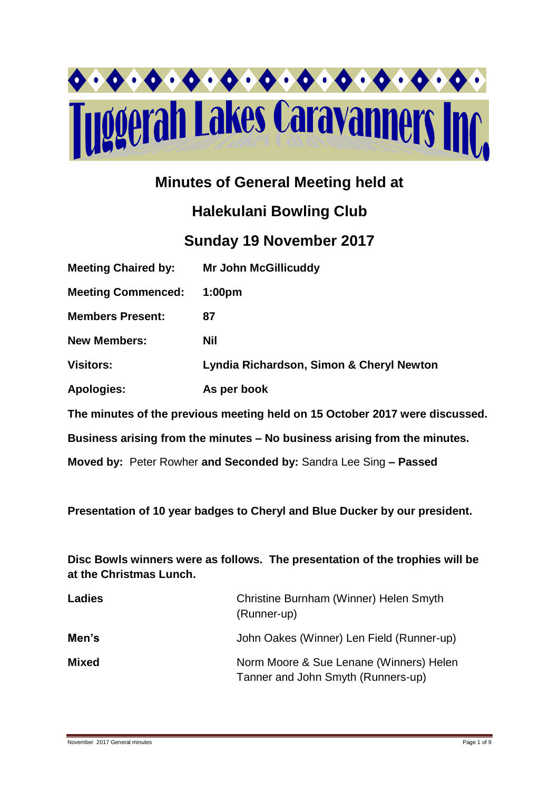

# **Minutes of General Meeting held at**

# **Halekulani Bowling Club**

# **Sunday 19 November 2017**

| <b>Meeting Chaired by:</b>                                                  | <b>Mr John McGillicuddy</b>              |  |  |  |
|-----------------------------------------------------------------------------|------------------------------------------|--|--|--|
| <b>Meeting Commenced:</b>                                                   | 1:00 <sub>pm</sub>                       |  |  |  |
| <b>Members Present:</b>                                                     | 87                                       |  |  |  |
| <b>New Members:</b>                                                         | <b>Nil</b>                               |  |  |  |
| <b>Visitors:</b>                                                            | Lyndia Richardson, Simon & Cheryl Newton |  |  |  |
| <b>Apologies:</b>                                                           | As per book                              |  |  |  |
| The minutes of the previous meeting held on 15 October 2017 were discussed. |                                          |  |  |  |
| Business arising from the minutes – No business arising from the minutes.   |                                          |  |  |  |
| Moved by: Peter Rowher and Seconded by: Sandra Lee Sing - Passed            |                                          |  |  |  |

**Presentation of 10 year badges to Cheryl and Blue Ducker by our president.**

**Disc Bowls winners were as follows. The presentation of the trophies will be at the Christmas Lunch.**

| <b>Ladies</b> | Christine Burnham (Winner) Helen Smyth<br>(Runner-up)                         |
|---------------|-------------------------------------------------------------------------------|
| Men's         | John Oakes (Winner) Len Field (Runner-up)                                     |
| Mixed         | Norm Moore & Sue Lenane (Winners) Helen<br>Tanner and John Smyth (Runners-up) |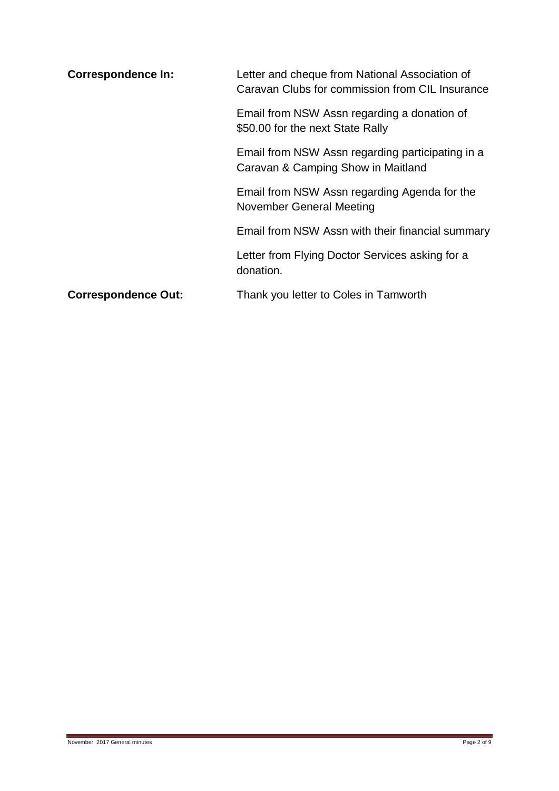| <b>Correspondence In:</b>  | Letter and cheque from National Association of<br>Caravan Clubs for commission from CIL Insurance |  |  |
|----------------------------|---------------------------------------------------------------------------------------------------|--|--|
|                            | Email from NSW Assn regarding a donation of<br>\$50.00 for the next State Rally                   |  |  |
|                            | Email from NSW Assn regarding participating in a<br>Caravan & Camping Show in Maitland            |  |  |
|                            | Email from NSW Assn regarding Agenda for the<br>November General Meeting                          |  |  |
|                            | Email from NSW Assn with their financial summary                                                  |  |  |
|                            | Letter from Flying Doctor Services asking for a<br>donation.                                      |  |  |
| <b>Correspondence Out:</b> | Thank you letter to Coles in Tamworth                                                             |  |  |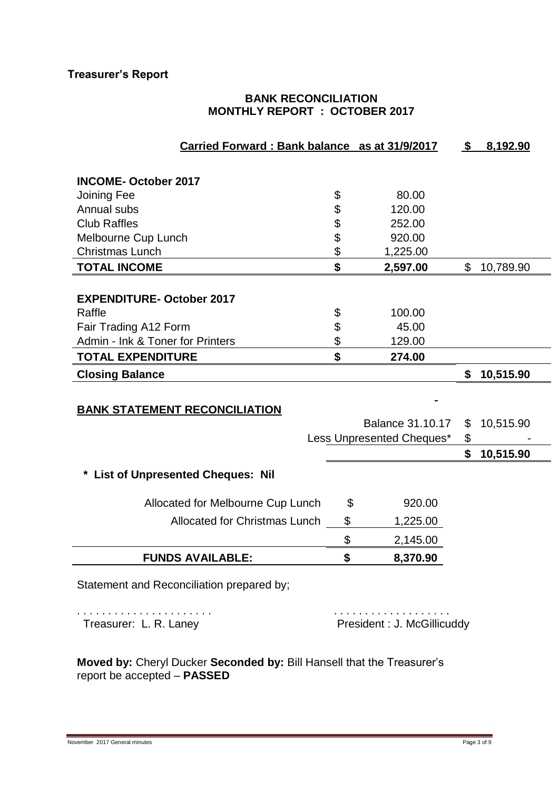#### **BANK RECONCILIATION MONTHLY REPORT : OCTOBER 2017**

| Carried Forward: Bank balance as at 31/9/2017 |                           | $\mathbf{\$}$ | 8,192.90  |
|-----------------------------------------------|---------------------------|---------------|-----------|
|                                               |                           |               |           |
| <b>INCOME-October 2017</b>                    |                           |               |           |
| Joining Fee                                   | \$<br>80.00               |               |           |
| Annual subs                                   | \$<br>120.00              |               |           |
| <b>Club Raffles</b>                           | \$<br>252.00              |               |           |
| Melbourne Cup Lunch                           | \$<br>920.00              |               |           |
| <b>Christmas Lunch</b>                        | \$<br>1,225.00            |               |           |
| <b>TOTAL INCOME</b>                           | \$<br>2,597.00            | \$            | 10,789.90 |
|                                               |                           |               |           |
| <b>EXPENDITURE- October 2017</b>              |                           |               |           |
| Raffle                                        | \$<br>100.00              |               |           |
| Fair Trading A12 Form                         | \$<br>45.00               |               |           |
| Admin - Ink & Toner for Printers              | \$<br>129.00              |               |           |
| <b>TOTAL EXPENDITURE</b>                      | \$<br>274.00              |               |           |
| <b>Closing Balance</b>                        |                           | \$            | 10,515.90 |
|                                               |                           |               |           |
| <b>BANK STATEMENT RECONCILIATION</b>          |                           |               |           |
|                                               | <b>Balance 31.10.17</b>   | \$            | 10,515.90 |
|                                               | Less Unpresented Cheques* | \$            |           |
|                                               |                           | \$            | 10,515.90 |
| <b>List of Unpresented Cheques: Nil</b>       |                           |               |           |
|                                               |                           |               |           |
| Allocated for Melbourne Cup Lunch             | \$<br>920.00              |               |           |
| <b>Allocated for Christmas Lunch</b>          | \$<br>1,225.00            |               |           |
|                                               | \$<br>2,145.00            |               |           |
| <b>FUNDS AVAILABLE:</b>                       | \$<br>8,370.90            |               |           |
|                                               |                           |               |           |
| Statement and Reconciliation prepared by;     |                           |               |           |
| .                                             | .                         |               |           |

Treasurer: L. R. Laney **President : J. McGillicuddy** 

**Moved by:** Cheryl Ducker **Seconded by:** Bill Hansell that the Treasurer's report be accepted – **PASSED**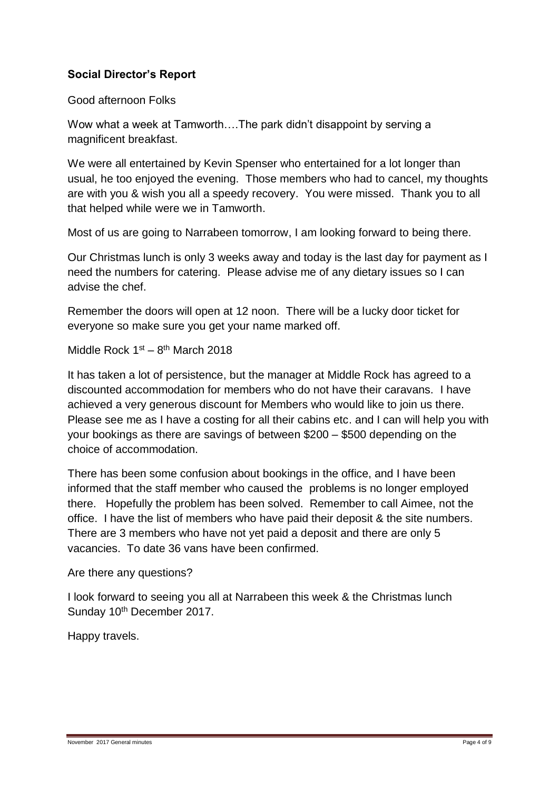## **Social Director's Report**

Good afternoon Folks

Wow what a week at Tamworth….The park didn't disappoint by serving a magnificent breakfast.

We were all entertained by Kevin Spenser who entertained for a lot longer than usual, he too enjoyed the evening. Those members who had to cancel, my thoughts are with you & wish you all a speedy recovery. You were missed. Thank you to all that helped while were we in Tamworth.

Most of us are going to Narrabeen tomorrow, I am looking forward to being there.

Our Christmas lunch is only 3 weeks away and today is the last day for payment as I need the numbers for catering. Please advise me of any dietary issues so I can advise the chef.

Remember the doors will open at 12 noon. There will be a lucky door ticket for everyone so make sure you get your name marked off.

Middle Rock 1<sup>st</sup> – 8<sup>th</sup> March 2018

It has taken a lot of persistence, but the manager at Middle Rock has agreed to a discounted accommodation for members who do not have their caravans. I have achieved a very generous discount for Members who would like to join us there. Please see me as I have a costing for all their cabins etc. and I can will help you with your bookings as there are savings of between \$200 – \$500 depending on the choice of accommodation.

There has been some confusion about bookings in the office, and I have been informed that the staff member who caused the problems is no longer employed there. Hopefully the problem has been solved. Remember to call Aimee, not the office. I have the list of members who have paid their deposit & the site numbers. There are 3 members who have not yet paid a deposit and there are only 5 vacancies. To date 36 vans have been confirmed.

Are there any questions?

I look forward to seeing you all at Narrabeen this week & the Christmas lunch Sunday 10<sup>th</sup> December 2017.

Happy travels.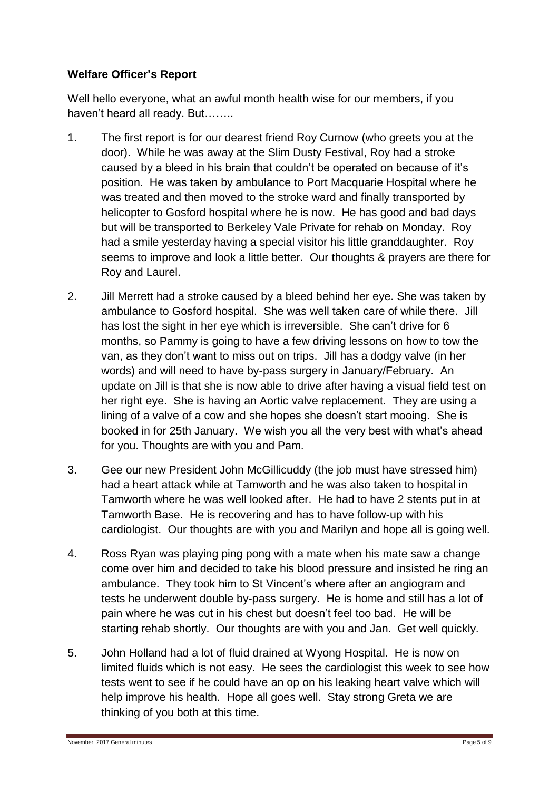### **Welfare Officer's Report**

Well hello everyone, what an awful month health wise for our members, if you haven't heard all ready. But……..

- 1. The first report is for our dearest friend Roy Curnow (who greets you at the door). While he was away at the Slim Dusty Festival, Roy had a stroke caused by a bleed in his brain that couldn't be operated on because of it's position. He was taken by ambulance to Port Macquarie Hospital where he was treated and then moved to the stroke ward and finally transported by helicopter to Gosford hospital where he is now. He has good and bad days but will be transported to Berkeley Vale Private for rehab on Monday. Roy had a smile yesterday having a special visitor his little granddaughter. Roy seems to improve and look a little better. Our thoughts & prayers are there for Roy and Laurel.
- 2. Jill Merrett had a stroke caused by a bleed behind her eye. She was taken by ambulance to Gosford hospital. She was well taken care of while there. Jill has lost the sight in her eye which is irreversible. She can't drive for 6 months, so Pammy is going to have a few driving lessons on how to tow the van, as they don't want to miss out on trips. Jill has a dodgy valve (in her words) and will need to have by-pass surgery in January/February. An update on Jill is that she is now able to drive after having a visual field test on her right eye. She is having an Aortic valve replacement. They are using a lining of a valve of a cow and she hopes she doesn't start mooing. She is booked in for 25th January. We wish you all the very best with what's ahead for you. Thoughts are with you and Pam.
- 3. Gee our new President John McGillicuddy (the job must have stressed him) had a heart attack while at Tamworth and he was also taken to hospital in Tamworth where he was well looked after. He had to have 2 stents put in at Tamworth Base. He is recovering and has to have follow-up with his cardiologist. Our thoughts are with you and Marilyn and hope all is going well.
- 4. Ross Ryan was playing ping pong with a mate when his mate saw a change come over him and decided to take his blood pressure and insisted he ring an ambulance. They took him to St Vincent's where after an angiogram and tests he underwent double by-pass surgery. He is home and still has a lot of pain where he was cut in his chest but doesn't feel too bad. He will be starting rehab shortly. Our thoughts are with you and Jan. Get well quickly.
- 5. John Holland had a lot of fluid drained at Wyong Hospital. He is now on limited fluids which is not easy. He sees the cardiologist this week to see how tests went to see if he could have an op on his leaking heart valve which will help improve his health. Hope all goes well. Stay strong Greta we are thinking of you both at this time.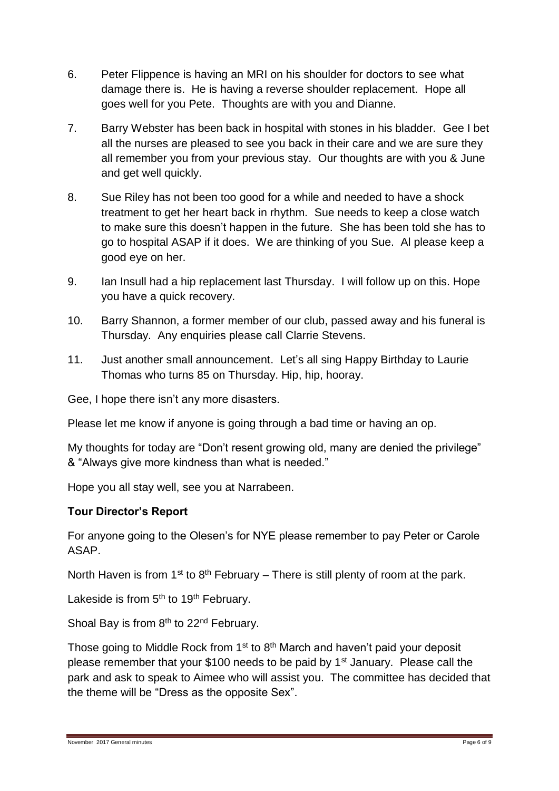- 6. Peter Flippence is having an MRI on his shoulder for doctors to see what damage there is. He is having a reverse shoulder replacement. Hope all goes well for you Pete. Thoughts are with you and Dianne.
- 7. Barry Webster has been back in hospital with stones in his bladder. Gee I bet all the nurses are pleased to see you back in their care and we are sure they all remember you from your previous stay. Our thoughts are with you & June and get well quickly.
- 8. Sue Riley has not been too good for a while and needed to have a shock treatment to get her heart back in rhythm. Sue needs to keep a close watch to make sure this doesn't happen in the future. She has been told she has to go to hospital ASAP if it does. We are thinking of you Sue. Al please keep a good eye on her.
- 9. Ian Insull had a hip replacement last Thursday. I will follow up on this. Hope you have a quick recovery.
- 10. Barry Shannon, a former member of our club, passed away and his funeral is Thursday. Any enquiries please call Clarrie Stevens.
- 11. Just another small announcement. Let's all sing Happy Birthday to Laurie Thomas who turns 85 on Thursday. Hip, hip, hooray.

Gee, I hope there isn't any more disasters.

Please let me know if anyone is going through a bad time or having an op.

My thoughts for today are "Don't resent growing old, many are denied the privilege" & "Always give more kindness than what is needed."

Hope you all stay well, see you at Narrabeen.

## **Tour Director's Report**

For anyone going to the Olesen's for NYE please remember to pay Peter or Carole ASAP.

North Haven is from  $1^{st}$  to  $8^{th}$  February – There is still plenty of room at the park.

Lakeside is from 5<sup>th</sup> to 19<sup>th</sup> February.

Shoal Bay is from  $8<sup>th</sup>$  to 22<sup>nd</sup> February.

Those going to Middle Rock from 1<sup>st</sup> to 8<sup>th</sup> March and haven't paid your deposit please remember that your \$100 needs to be paid by 1<sup>st</sup> January. Please call the park and ask to speak to Aimee who will assist you. The committee has decided that the theme will be "Dress as the opposite Sex".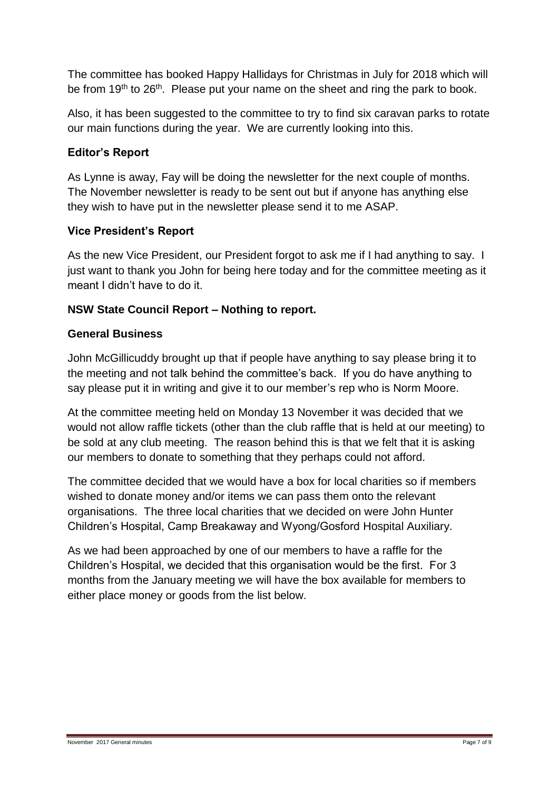The committee has booked Happy Hallidays for Christmas in July for 2018 which will be from 19<sup>th</sup> to 26<sup>th</sup>. Please put your name on the sheet and ring the park to book.

Also, it has been suggested to the committee to try to find six caravan parks to rotate our main functions during the year. We are currently looking into this.

### **Editor's Report**

As Lynne is away, Fay will be doing the newsletter for the next couple of months. The November newsletter is ready to be sent out but if anyone has anything else they wish to have put in the newsletter please send it to me ASAP.

#### **Vice President's Report**

As the new Vice President, our President forgot to ask me if I had anything to say. I just want to thank you John for being here today and for the committee meeting as it meant I didn't have to do it.

#### **NSW State Council Report – Nothing to report.**

#### **General Business**

John McGillicuddy brought up that if people have anything to say please bring it to the meeting and not talk behind the committee's back. If you do have anything to say please put it in writing and give it to our member's rep who is Norm Moore.

At the committee meeting held on Monday 13 November it was decided that we would not allow raffle tickets (other than the club raffle that is held at our meeting) to be sold at any club meeting. The reason behind this is that we felt that it is asking our members to donate to something that they perhaps could not afford.

The committee decided that we would have a box for local charities so if members wished to donate money and/or items we can pass them onto the relevant organisations. The three local charities that we decided on were John Hunter Children's Hospital, Camp Breakaway and Wyong/Gosford Hospital Auxiliary.

As we had been approached by one of our members to have a raffle for the Children's Hospital, we decided that this organisation would be the first. For 3 months from the January meeting we will have the box available for members to either place money or goods from the list below.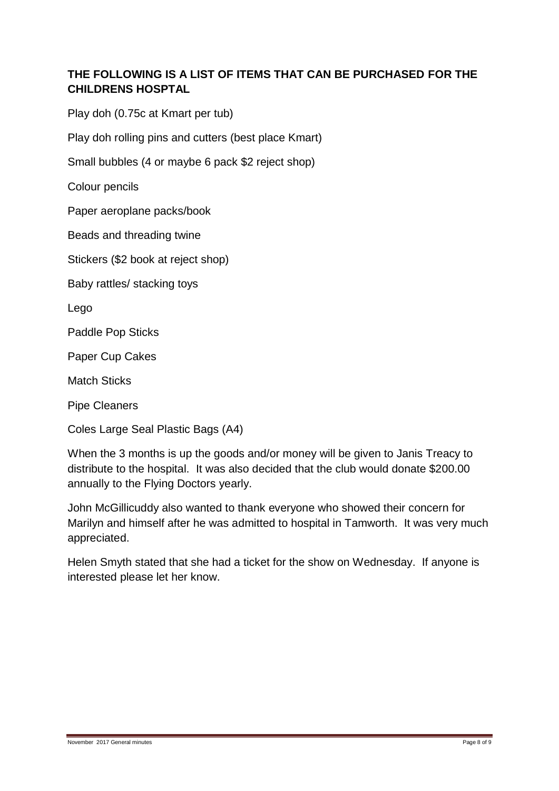# **THE FOLLOWING IS A LIST OF ITEMS THAT CAN BE PURCHASED FOR THE CHILDRENS HOSPTAL**

Play doh (0.75c at Kmart per tub)

Play doh rolling pins and cutters (best place Kmart)

Small bubbles (4 or maybe 6 pack \$2 reject shop)

Colour pencils

Paper aeroplane packs/book

Beads and threading twine

Stickers (\$2 book at reject shop)

Baby rattles/ stacking toys

Lego

Paddle Pop Sticks

Paper Cup Cakes

Match Sticks

Pipe Cleaners

Coles Large Seal Plastic Bags (A4)

When the 3 months is up the goods and/or money will be given to Janis Treacy to distribute to the hospital. It was also decided that the club would donate \$200.00 annually to the Flying Doctors yearly.

John McGillicuddy also wanted to thank everyone who showed their concern for Marilyn and himself after he was admitted to hospital in Tamworth. It was very much appreciated.

Helen Smyth stated that she had a ticket for the show on Wednesday. If anyone is interested please let her know.